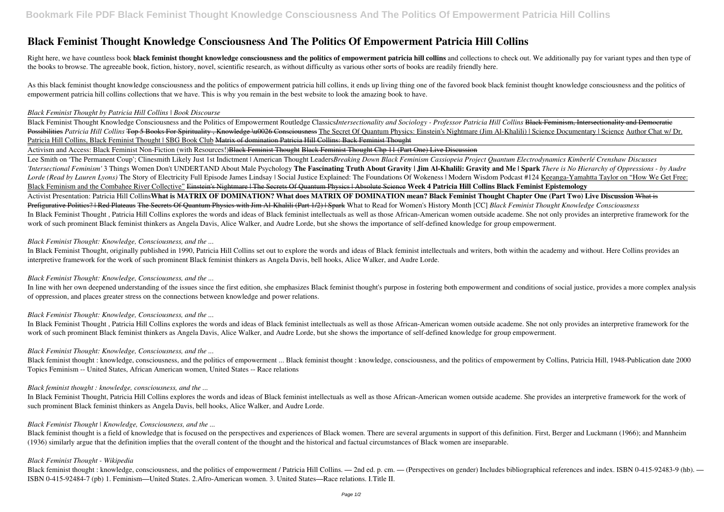# **Black Feminist Thought Knowledge Consciousness And The Politics Of Empowerment Patricia Hill Collins**

Right here, we have countless book black feminist thought knowledge consciousness and the politics of empowerment patricia hill collins and collections to check out. We additionally pay for variant types and then type of the books to browse. The agreeable book, fiction, history, novel, scientific research, as without difficulty as various other sorts of books are readily friendly here.

As this black feminist thought knowledge consciousness and the politics of empowerment patricia hill collins, it ends up living thing one of the favored book black feminist thought knowledge consciousness and the politics empowerment patricia hill collins collections that we have. This is why you remain in the best website to look the amazing book to have.

#### *Black Feminist Thought by Patricia Hill Collins | Book Discourse*

Black Feminist Thought Knowledge Consciousness and the Politics of Empowerment Routledge Classics*Intersectionality and Sociology - Professor Patricia Hill Collins* Black Feminism, Intersectionality and Democratic Possibilities *Patricia Hill Collins* Top 5 Books For Spirituality, Knowledge \u0026 Consciousness The Secret Of Quantum Physics: Einstein's Nightmare (Jim Al-Khalili) | Science Documentary | Science Author Chat w/ Dr. Patricia Hill Collins, Black Feminist Thought | SBG Book Club Matrix of domination Patricia Hill Collins: Back Feminist Thought

Activism and Access: Black Feminist Non-Fiction (with Resources!) Black Feminist Thought Black Feminist Thought Chp 11 (Part One) Live Discussion

In line with her own deepened understanding of the issues since the first edition, she emphasizes Black feminist thought's purpose in fostering both empowerment and conditions of social justice, provides a more complex ana of oppression, and places greater stress on the connections between knowledge and power relations.

Black feminist thought : knowledge, consciousness, and the politics of empowerment ... Black feminist thought : knowledge, consciousness, and the politics of empowerment by Collins, Patricia Hill, 1948-Publication date 200 Topics Feminism -- United States, African American women, United States -- Race relations

Lee Smith on 'The Permanent Coup'; Clinesmith Likely Just 1st Indictment | American Thought Leaders*Breaking Down Black Feminism Cassiopeia Project Quantum Electrodynamics Kimberlé Crenshaw Discusses 'Intersectional Feminism'* 3 Things Women Don't UNDERTAND About Male Psychology **The Fascinating Truth About Gravity | Jim Al-Khalili: Gravity and Me | Spark** *There is No Hierarchy of Oppressions - by Audre Lorde (Read by Lauren Lyons)* The Story of Electricity Full Episode James Lindsay | Social Justice Explained: The Foundations Of Wokeness | Modern Wisdom Podcast #124 Keeanga-Yamahtta Taylor on "How We Get Free: Black Feminism and the Combahee River Collective" Einstein's Nightmare | The Secrets Of Quantum Physics | Absolute Science **Week 4 Patricia Hill Collins Black Feminist Epistemology** Activist Presentation: Patricia Hill Collins**What is MATRIX OF DOMINATION? What does MATRIX OF DOMINATION mean? Black Feminist Thought Chapter One (Part Two) Live Discussion** What is Prefigurative Politics? | Red Plateaus The Secrets Of Quantum Physics with Jim Al-Khalili (Part 1/2) | Spark What to Read for Women's History Month [CC] *Black Feminist Thought Knowledge Consciousness* In Black Feminist Thought , Patricia Hill Collins explores the words and ideas of Black feminist intellectuals as well as those African-American women outside academe. She not only provides an interpretive framework for the work of such prominent Black feminist thinkers as Angela Davis, Alice Walker, and Audre Lorde, but she shows the importance of self-defined knowledge for group empowerment.

Black feminist thought: knowledge, consciousness, and the politics of empowerment / Patricia Hill Collins. — 2nd ed. p. cm. — (Perspectives on gender) Includes bibliographical references and index. ISBN 0-415-92483-9 (hb). ISBN 0-415-92484-7 (pb) 1. Feminism—United States. 2.Afro-American women. 3. United States—Race relations. I.Title II.

#### *Black Feminist Thought: Knowledge, Consciousness, and the ...*

In Black Feminist Thought, originally published in 1990, Patricia Hill Collins set out to explore the words and ideas of Black feminist intellectuals and writers, both within the academy and without. Here Collins provides an interpretive framework for the work of such prominent Black feminist thinkers as Angela Davis, bell hooks, Alice Walker, and Audre Lorde.

#### *Black Feminist Thought: Knowledge, Consciousness, and the ...*

#### *Black Feminist Thought: Knowledge, Consciousness, and the ...*

In Black Feminist Thought , Patricia Hill Collins explores the words and ideas of Black feminist intellectuals as well as those African-American women outside academe. She not only provides an interpretive framework for the work of such prominent Black feminist thinkers as Angela Davis, Alice Walker, and Audre Lorde, but she shows the importance of self-defined knowledge for group empowerment.

# *Black Feminist Thought: Knowledge, Consciousness, and the ...*

#### *Black feminist thought : knowledge, consciousness, and the ...*

In Black Feminist Thought, Patricia Hill Collins explores the words and ideas of Black feminist intellectuals as well as those African-American women outside academe. She provides an interpretive framework for the work of such prominent Black feminist thinkers as Angela Davis, bell hooks, Alice Walker, and Audre Lorde.

#### *Black Feminist Thought | Knowledge, Consciousness, and the ...*

Black feminist thought is a field of knowledge that is focused on the perspectives and experiences of Black women. There are several arguments in support of this definition. First, Berger and Luckmann (1966); and Mannheim (1936) similarly argue that the definition implies that the overall content of the thought and the historical and factual circumstances of Black women are inseparable.

#### *Black Feminist Thought - Wikipedia*